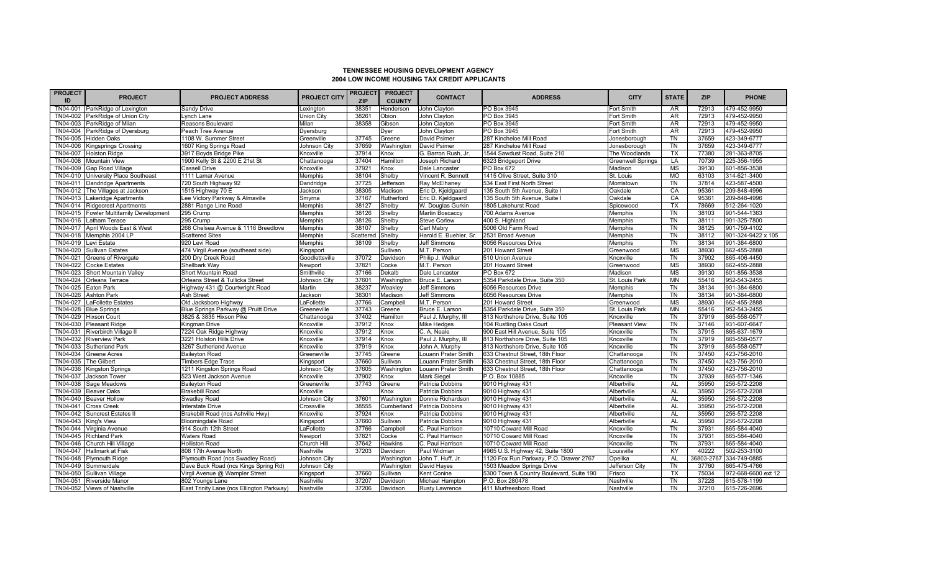## **TENNESSEE HOUSING DEVELOPMENT AGENCY 2004 LOW INCOME HOUSING TAX CREDIT APPLICANTS**

| PROJECT <br>ID | <b>PROJECT</b>                  | <b>PROJECT ADDRESS</b>                    | <b>PROJECT CITY</b> | PROJECT<br><b>ZIP</b> | <b>PROJECT</b><br><b>COUNTY</b>                                                                                                                                 | <b>CONTACT</b>         | <b>ADDRESS</b>                           | <b>CITY</b>              | <b>STATE</b> | <b>ZIP</b> | <b>PHONE</b>            |
|----------------|---------------------------------|-------------------------------------------|---------------------|-----------------------|-----------------------------------------------------------------------------------------------------------------------------------------------------------------|------------------------|------------------------------------------|--------------------------|--------------|------------|-------------------------|
|                | TN04-001 ParkRidge of Lexington | Sandy Drive                               | Lexington           | 38351                 | Henderson                                                                                                                                                       | John Clayton           | PO Box 3945                              | Fort Smith               | <b>AR</b>    | 72913      | 479-452-9950            |
| TN04-002       | ParkRidge of Union City         | Lynch Lane                                | Union City          | 38261                 | Obion                                                                                                                                                           | John Clayton           | PO Box 3945                              | Fort Smith               | AR           | 72913      | 479-452-9950            |
| TN04-003       | ParkRidge of Milan              | Reasons Boulevard                         | Milan               | 38358                 | Gibson                                                                                                                                                          | John Clayton           | PO Box 3945                              | Fort Smith               | AR           | 72913      | 479-452-9950            |
| TN04-004       | ParkRidge of Dyersburg          | Peach Tree Avenue                         | Dyersburg           |                       | Dyer                                                                                                                                                            | John Clayton           | PO Box 3945                              | Fort Smith               | AR           | 72913      | 479-452-9950            |
| TN04-005       | <b>Hidden Oaks</b>              | 1108 W. Summer Street                     | Greenville          | 37745                 | Greene                                                                                                                                                          | David Psimer           | 287 Kincheloe Mill Road                  | Jonesborough             | <b>TN</b>    | 37659      | 423-349-6777            |
| TN04-006       | <b>Kingsprings Crossing</b>     | 1607 King Springs Road                    | Johnson City        | 37659                 | Washington                                                                                                                                                      | David Psimer           | 287 Kincheloe Mill Road                  | Jonesborough             | <b>TN</b>    | 37659      | 423-349-6777            |
| TN04-007       | <b>Holston Ridge</b>            | 3917 Boyds Bridge Pike                    | Knoxville           | 37914                 | <nox< td=""><td>G. Barron Rush, Jr.</td><td>1544 Sawdust Road, Suite 210</td><td>The Woodlands</td><td><b>TX</b></td><td>77380</td><td>281-363-8705</td></nox<> | G. Barron Rush, Jr.    | 1544 Sawdust Road, Suite 210             | The Woodlands            | <b>TX</b>    | 77380      | 281-363-8705            |
| TN04-008       | <b>Mountain View</b>            | 1900 Kelly St & 2200 E 21st St            | Chattanooga         | 37404                 | <b>Hamilton</b>                                                                                                                                                 | Joseph Richard         | 6323 Bridgeport Drive                    | <b>Greenwell Springs</b> | LA           | 70739      | 225-356-1955            |
| TN04-009       | Gap Road Village                | Cassell Drive                             | Knoxville           | 37921                 | <b>Knox</b>                                                                                                                                                     | Dale Lancaster         | PO Box 672                               | Madison                  | MS           | 39130      | 601-856-3538            |
| TN04-010       | University Place Southeast      | 1111 Lamar Avenue                         | Memphis             | 38104                 | Shelby                                                                                                                                                          | Vincent R. Bennett     | 1415 Olive Street, Suite 310             | St. Louis                | <b>MO</b>    | 63103      | 314-621-3400            |
| TN04-011       | Dandridge Apartments            | 720 South Highway 92                      | Dandridge           | 37725                 | Jefferson                                                                                                                                                       | Ray McElhaney          | 534 East First North Street              | Morristown               | <b>TN</b>    | 37814      | 423-587-4500            |
| TN04-012       | The Villages at Jackson         | 1515 Highway 70 E                         | Jackson             | 38305                 | Madison                                                                                                                                                         | Eric D. Kjeldgaard     | 135 South 5th Avenue, Suite              | Oakdale                  | CA           | 95361      | 209-848-4996            |
| $TN04-013$     | Lakeridge Apartments            | Lee Victory Parkway & Almaville           | Smyrna              | 37167                 | <b>Rutherford</b>                                                                                                                                               | Eric D. Kjeldgaard     | 135 South 5th Avenue, Suite              | Oakdale                  | CA           | 95361      | 209-848-4996            |
| TN04-014       | <b>Ridgecrest Apartments</b>    | 2881 Range Line Road                      | Memphis             | 38127                 | Shelby                                                                                                                                                          | W. Douglas Gurkin      | 1805 Lakehurst Road                      | Spicewood                | TX           | 78669      | 512-264-1020            |
| TN04-015       | Fowler Multifamily Development  | 295 Crump                                 | Memphis             | 38126                 | Shelby                                                                                                                                                          | <b>Martin Boscaccy</b> | 700 Adams Avenue                         | Memphis                  | <b>TN</b>    | 38103      | 901-544-1363            |
| TN04-016       | Latham Terace                   | 295 Crump                                 | Memphis             | 38126                 | Shelby                                                                                                                                                          | Steve Corlew           | 400 S. Highland                          | Memphis                  | <b>TN</b>    | 38111      | 901-325-7800            |
| TN04-017       | April Woods East & West         | 268 Chelsea Avenue & 1116 Breedlove       | <b>Memphis</b>      | 38107                 | Shelby                                                                                                                                                          | Carl Mabry             | 5006 Old Farm Road                       | Memphis                  | <b>TN</b>    | 38125      | 901-759-4102            |
| TN04-018       | Memphis 2004 LP                 | <b>Scattered Sites</b>                    | Memphis             | Scattered             | Shelby                                                                                                                                                          | Harold E. Buehler, Sr. | 2531 Broad Avenue                        | Memphis                  | <b>TN</b>    | 38112      | 901-324-9422 x 105      |
| TN04-019       | Levi Estate                     | 920 Levi Road                             | Memphis             | 38109                 | Shelby                                                                                                                                                          | Jeff Simmons           | 6056 Resources Drive                     | Memphis                  | <b>TN</b>    | 38134      | 901-384-6800            |
| TN04-020       | <b>Sullivan Estates</b>         | 474 Virgil Avenue (southeast side)        | Kingsport           |                       | Sullivan                                                                                                                                                        | M.T. Person            | 201 Howard Street                        | Greenwood                | <b>MS</b>    | 38930      | 662-455-2888            |
| TN04-021       | <b>Greens of Rivergate</b>      | 200 Dry Creek Road                        | Goodlettsville      | 37072                 | Davidson                                                                                                                                                        | Philip J. Welker       | 510 Union Avenue                         | Knoxville                | TN           | 37902      | 865-406-4450            |
| TN04-022       | <b>Cocke Estates</b>            | Shellbark Way                             | Newport             | 37821                 | Cocke                                                                                                                                                           | M.T. Person            | 201 Howard Street                        | Greenwood                | <b>MS</b>    | 38930      | 662-455-2888            |
| TN04-023       | Short Mountain Valley           | Short Mountain Road                       | Smithville          | 37166                 | Dekalb                                                                                                                                                          | Dale Lancaster         | PO Box 672                               | Madison                  | <b>MS</b>    | 39130      | 601-856-3538            |
| TN04-024       | <b>Orleans Terrace</b>          | Orleans Street & Tullicka Street          | Johnson City        | 37601                 | Washington                                                                                                                                                      | Bruce E. Larson        | 5354 Parkdale Drive, Suite 350           | St. Louis Park           | <b>MN</b>    | 55416      | 952-543-2455            |
| TN04-025       | Eaton Park                      | Highway 431 @ Courtwright Road            | Martin              | 38237                 | Weakley                                                                                                                                                         | Jeff Simmons           | 6056 Resources Drive                     | Memphis                  | TN           | 38134      | 901-384-6800            |
| TN04-026       | <b>Ashton Park</b>              | Ash Street                                | Jackson             | 38301                 | Madison                                                                                                                                                         | Jeff Simmons           | 6056 Resources Drive                     | Memphis                  | <b>TN</b>    | 38134      | 901-384-6800            |
| TN04-027       | <b>LaFollette Estates</b>       | Old Jacksboro Highway                     | LaFollette          | 37766                 | Campbell                                                                                                                                                        | M.T. Person            | 201 Howard Street                        | Greenwood                | <b>MS</b>    | 38930      | 662-455-2888            |
| TN04-028       | <b>Blue Springs</b>             | Blue Springs Parkway @ Pruitt Drive       | Greeneville         | 37743                 | <b>Greene</b>                                                                                                                                                   | Bruce E. Larson        | 5354 Parkdale Drive, Suite 350           | St. Louis Park           | <b>MN</b>    | 55416      | 952-543-2455            |
| TN04-029       | <b>Hixson Court</b>             | 3825 & 3835 Hixson Pike                   | Chattanooga         | 37402                 | <b>Hamilton</b>                                                                                                                                                 | Paul J. Murphy, III    | 813 Northshore Drive, Suite 105          | Knoxville                | <b>TN</b>    | 37919      | 865-558-0577            |
| TN04-030       | <b>Pleasant Ridge</b>           | Kingman Drive                             | Knoxville           | 37912                 | <nox< td=""><td>Mike Hedges</td><td>104 Rustling Oaks Court</td><td>Pleasant View</td><td>TN</td><td>37146</td><td>931-607-6647</td></nox<>                     | Mike Hedges            | 104 Rustling Oaks Court                  | Pleasant View            | TN           | 37146      | 931-607-6647            |
| TN04-031       | Riverbirch Village II           | 7224 Oak Ridge Highway                    | Knoxville           | 37912                 | <b>Knox</b>                                                                                                                                                     | C. A. Neale            | 900 East Hill Avenue, Suite 105          | Knoxville                | <b>TN</b>    | 37915      | 865-637-1679            |
| TN04-032       | <b>Riverview Park</b>           | 3221 Holston Hills Drive                  | Knoxville           | 37914                 | <b>Knox</b>                                                                                                                                                     | Paul J. Murphy, III    | 813 Northshore Drive, Suite 105          | Knoxville                | <b>TN</b>    | 37919      | 865-558-0577            |
| TN04-033       | <b>Sutherland Park</b>          | 3267 Sutherland Avenue                    | Knoxville           | 37919                 | <b>Knox</b>                                                                                                                                                     | John A. Murphy         | 813 Northshore Drive, Suite 105          | Knoxville                | <b>TN</b>    | 37919      | 865-558-0577            |
| TN04-034       | <b>Greene Acres</b>             | <b>Baileyton Road</b>                     | Greeneville         | 37745                 | Greene                                                                                                                                                          | Louann Prater Smith    | 633 Chestnut Street, 18th Floor          | Chattanooga              | <b>TN</b>    | 37450      | 423-756-2010            |
| TN04-035       | The Gilbert                     | <b>Timbers Edge Trace</b>                 | Kingsport           | 37660                 | Sullivan                                                                                                                                                        | Louann Prater Smith    | 633 Chestnut Street, 18th Floor          | Chattanooga              | <b>TN</b>    | 37450      | 423-756-2010            |
| TN04-036       | <b>Kingston Springs</b>         | 1211 Kingston Springs Road                | Johnson City        | 37605                 | <b>Nashington</b>                                                                                                                                               | Louann Prater Smith    | 633 Chestnut Street, 18th Floor          | Chattanooga              | TN           | 37450      | 423-756-2010            |
| TN04-037       | Jackson Tower                   | 523 West Jackson Avenue                   | Knoxville           | 37902                 | Knox                                                                                                                                                            | Mark Siegel            | P.O. Box 10885                           | Knoxville                | TN           | 37939      | 865-577-1346            |
| TN04-038       | Sage Meadows                    | <b>Baileyton Road</b>                     | Greeneville         | 37743                 | Greene                                                                                                                                                          | Patricia Dobbins       | 9010 Highway 431                         | Albertville              | <b>AL</b>    | 35950      | 256-572-2208            |
| TN04-039       | <b>Beaver Oaks</b>              | <b>Brakebill Road</b>                     | Knoxville           |                       | <b>Knox</b>                                                                                                                                                     | Patricia Dobbins       | 9010 Highway 431                         | Albertville              | <b>AL</b>    | 35950      | 256-572-2208            |
| TN04-040       | <b>Beaver Hollow</b>            | Swadley Road                              | Johnson City        | 37601                 | Washington                                                                                                                                                      | Donnie Richardson      | 9010 Highway 431                         | Albertville              | AL           | 35950      | 256-572-2208            |
| TN04-041       | <b>Cross Creek</b>              | Interstate Drive                          | Crossville          | 38555                 | Cumberland                                                                                                                                                      | Patricia Dobbins       | 9010 Highway 431                         | Albertville              | <b>AL</b>    | 35950      | 256-572-2208            |
| TN04-042       | Suncrest Estates II             | Brakebill Road (ncs Ashville Hwy)         | Knoxville           | 37924                 | Knox                                                                                                                                                            | Patricia Dobbins       | 9010 Highway 431                         | Albertville              | <b>AL</b>    | 35950      | 256-572-2208            |
| TN04-043       | King's View                     | <b>Bloomingdale Road</b>                  | Kingsport           | 37660                 | Sullivan                                                                                                                                                        | Patricia Dobbins       | 9010 Highway 431                         | Albertville              | <b>AL</b>    | 35950      | 256-572-2208            |
|                | TN04-044 Virginia Avenue        | 914 South 12th Street                     | .aFollette          | 37766                 | Campbell                                                                                                                                                        | C. Paul Harrison       | 10710 Coward Mill Road                   | Knoxville                | <b>TN</b>    | 37931      | 865-584-4040            |
| TN04-045       | <b>Richland Park</b>            | <b>Waters Road</b>                        | Newport             | 37821                 | Cocke                                                                                                                                                           | C. Paul Harrison       | 10710 Coward Mill Road                   | Knoxville                | TN           | 37931      | 865-584-4040            |
| TN04-046       | Church Hill Village             | <b>Holliston Road</b>                     | Church Hill         | 37642                 | lawkins                                                                                                                                                         | C. Paul Harrison       | 10710 Coward Mill Road                   | Knoxville                | TN           | 37931      | 865-584-4040            |
| TN04-047       | <b>Hallmark at Fisk</b>         | 808 17th Avenue North                     | Nashville           | 37203                 | Davidson                                                                                                                                                        | Paul Widman            | 4965 U.S. Highway 42, Suite 1800         | Louisville               | KY           | 40222      | 502-253-3100            |
| TN04-048       | <b>Plymouth Ridge</b>           | Plymouth Road (ncs Swadley Road)          | Johnson City        |                       | Washington                                                                                                                                                      | John T. Huff, Jr.      | 1120 Fox Run Parkway, P.O. Drawer 2767   | Opelika                  | <b>AL</b>    |            | 36803-2767 334-749-0885 |
| TN04-049       | Summerdale                      | Dave Buck Road (ncs Kings Spring Rd)      | Johnson City        |                       | Washington                                                                                                                                                      | David Hayes            | 1503 Meadow Springs Drive                | Jefferson City           | TN           | 37760      | 865-475-4766            |
| TN04-050       | Sullivan Village                | Virgil Avenue @ Wampler Street            | Kingsport           | 37660                 | Sullivan                                                                                                                                                        | Kent Conine            | 5300 Town & Country Boulevard, Suite 190 | Frisco                   | TX           | 75034      | 972-668-6600 ext 12     |
| TN04-051       | Riverside Manor                 | 802 Youngs Lane                           | Nashville           | 37207                 | Davidson                                                                                                                                                        | Michael Hampton        | P.O. Box 280478                          | Nashville                | <b>TN</b>    | 37228      | 615-578-1199            |
|                | TN04-052 Views of Nashville     | East Trinity Lane (ncs Ellington Parkway) | Nashville           | 37206                 | Davidson                                                                                                                                                        | Rusty Lawrence         | 411 Murfreesboro Road                    | Nashville                | TN           | 37210      | 615-726-2696            |